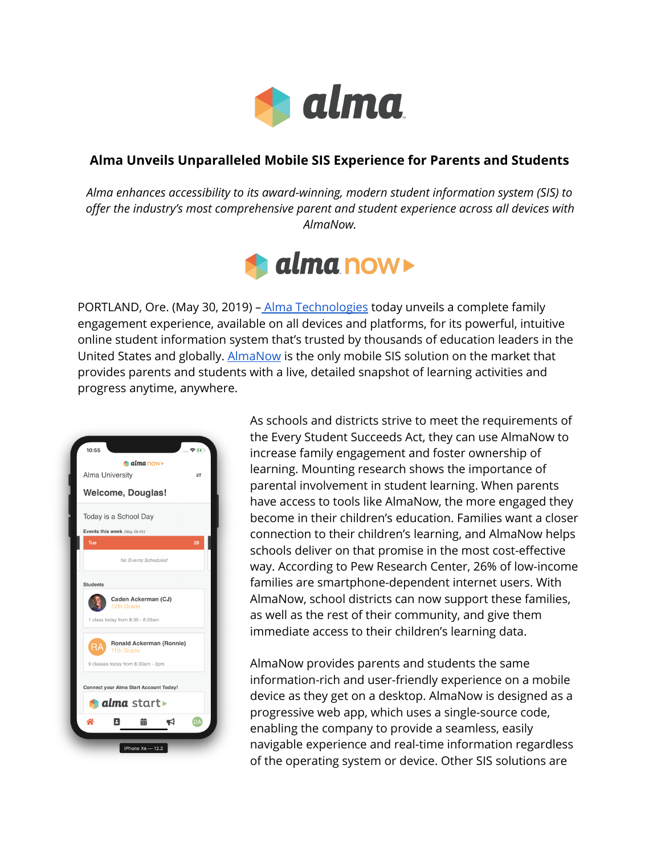

## **Alma Unveils Unparalleled Mobile SIS Experience for Parents and Students**

*Alma enhances accessibility to its award-winning, modern student information system (SIS) to offer the industry's most comprehensive parent and student experience across all devices with AlmaNow.*



PORTLAND, Ore. (May 30, 2019) – Alma [Technologies](http://www.getalma.com/) today unveils a complete family engagement experience, available on all devices and platforms, for its powerful, intuitive online student information system that's trusted by thousands of education leaders in the United States and globally. [AlmaNow](https://mailchi.mp/getalma.com/mobile) is the only mobile SIS solution on the market that provides parents and students with a live, detailed snapshot of learning activities and progress anytime, anywhere.



As schools and districts strive to meet the requirements of the Every Student Succeeds Act, they can use AlmaNow to increase family engagement and foster ownership of learning. Mounting research shows the importance of parental involvement in student learning. When parents have access to tools like AlmaNow, the more engaged they become in their children's education. Families want a closer connection to their children's learning, and AlmaNow helps schools deliver on that promise in the most cost-effective way. According to Pew Research Center, 26% of low-income families are smartphone-dependent internet users. With AlmaNow, school districts can now support these families, as well as the rest of their community, and give them immediate access to their children's learning data.

AlmaNow provides parents and students the same information-rich and user-friendly experience on a mobile device as they get on a desktop. AlmaNow is designed as a progressive web app, which uses a single-source code, enabling the company to provide a seamless, easily navigable experience and real-time information regardless of the operating system or device. Other SIS solutions are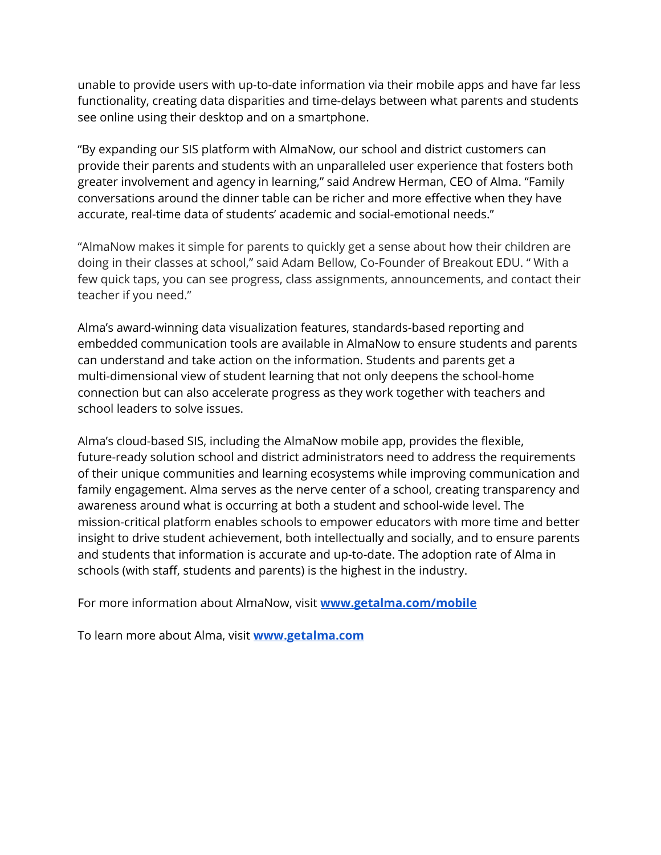unable to provide users with up-to-date information via their mobile apps and have far less functionality, creating data disparities and time-delays between what parents and students see online using their desktop and on a smartphone.

"By expanding our SIS platform with AlmaNow, our school and district customers can provide their parents and students with an unparalleled user experience that fosters both greater involvement and agency in learning," said Andrew Herman, CEO of Alma. "Family conversations around the dinner table can be richer and more effective when they have accurate, real-time data of students' academic and social-emotional needs."

"AlmaNow makes it simple for parents to quickly get a sense about how their children are doing in their classes at school," said Adam Bellow, Co-Founder of Breakout EDU. " With a few quick taps, you can see progress, class assignments, announcements, and contact their teacher if you need."

Alma's award-winning data visualization features, standards-based reporting and embedded communication tools are available in AlmaNow to ensure students and parents can understand and take action on the information. Students and parents get a multi-dimensional view of student learning that not only deepens the school-home connection but can also accelerate progress as they work together with teachers and school leaders to solve issues.

Alma's cloud-based SIS, including the AlmaNow mobile app, provides the flexible, future-ready solution school and district administrators need to address the requirements of their unique communities and learning ecosystems while improving communication and family engagement. Alma serves as the nerve center of a school, creating transparency and awareness around what is occurring at both a student and school-wide level. The mission-critical platform enables schools to empower educators with more time and better insight to drive student achievement, both intellectually and socially, and to ensure parents and students that information is accurate and up-to-date. The adoption rate of Alma in schools (with staff, students and parents) is the highest in the industry.

For more information about AlmaNow, visit **[www.getalma.com/mobile](http://www.getalma.com/mobile.)**

To learn more about Alma, visit **[www.getalma.com](http://www.getalma.com/)**